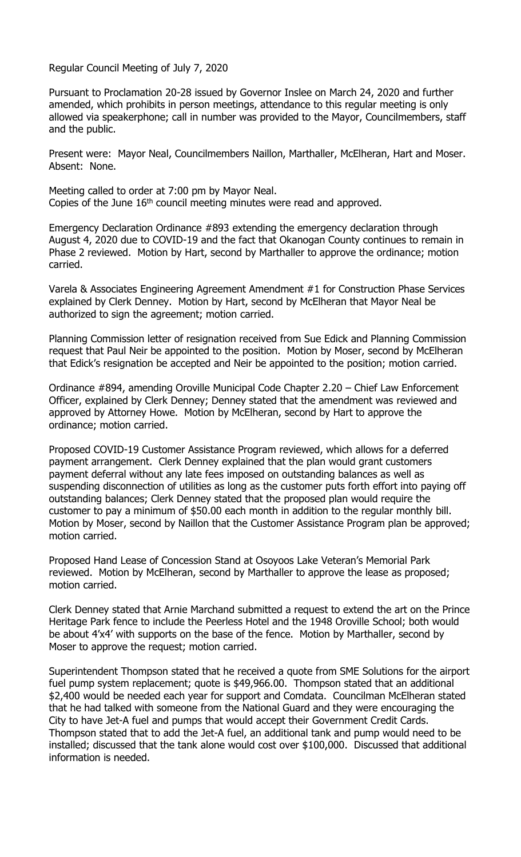Regular Council Meeting of July 7, 2020

Pursuant to Proclamation 20-28 issued by Governor Inslee on March 24, 2020 and further amended, which prohibits in person meetings, attendance to this regular meeting is only allowed via speakerphone; call in number was provided to the Mayor, Councilmembers, staff and the public.

Present were: Mayor Neal, Councilmembers Naillon, Marthaller, McElheran, Hart and Moser. Absent: None.

Meeting called to order at 7:00 pm by Mayor Neal. Copies of the June  $16<sup>th</sup>$  council meeting minutes were read and approved.

Emergency Declaration Ordinance #893 extending the emergency declaration through August 4, 2020 due to COVID-19 and the fact that Okanogan County continues to remain in Phase 2 reviewed. Motion by Hart, second by Marthaller to approve the ordinance; motion carried.

Varela & Associates Engineering Agreement Amendment #1 for Construction Phase Services explained by Clerk Denney. Motion by Hart, second by McElheran that Mayor Neal be authorized to sign the agreement; motion carried.

Planning Commission letter of resignation received from Sue Edick and Planning Commission request that Paul Neir be appointed to the position. Motion by Moser, second by McElheran that Edick's resignation be accepted and Neir be appointed to the position; motion carried.

Ordinance #894, amending Oroville Municipal Code Chapter 2.20 – Chief Law Enforcement Officer, explained by Clerk Denney; Denney stated that the amendment was reviewed and approved by Attorney Howe. Motion by McElheran, second by Hart to approve the ordinance; motion carried.

Proposed COVID-19 Customer Assistance Program reviewed, which allows for a deferred payment arrangement. Clerk Denney explained that the plan would grant customers payment deferral without any late fees imposed on outstanding balances as well as suspending disconnection of utilities as long as the customer puts forth effort into paying off outstanding balances; Clerk Denney stated that the proposed plan would require the customer to pay a minimum of \$50.00 each month in addition to the regular monthly bill. Motion by Moser, second by Naillon that the Customer Assistance Program plan be approved; motion carried.

Proposed Hand Lease of Concession Stand at Osoyoos Lake Veteran's Memorial Park reviewed. Motion by McElheran, second by Marthaller to approve the lease as proposed; motion carried.

Clerk Denney stated that Arnie Marchand submitted a request to extend the art on the Prince Heritage Park fence to include the Peerless Hotel and the 1948 Oroville School; both would be about 4'x4' with supports on the base of the fence. Motion by Marthaller, second by Moser to approve the request; motion carried.

Superintendent Thompson stated that he received a quote from SME Solutions for the airport fuel pump system replacement; quote is \$49,966.00. Thompson stated that an additional \$2,400 would be needed each year for support and Comdata. Councilman McElheran stated that he had talked with someone from the National Guard and they were encouraging the City to have Jet-A fuel and pumps that would accept their Government Credit Cards. Thompson stated that to add the Jet-A fuel, an additional tank and pump would need to be installed; discussed that the tank alone would cost over \$100,000. Discussed that additional information is needed.